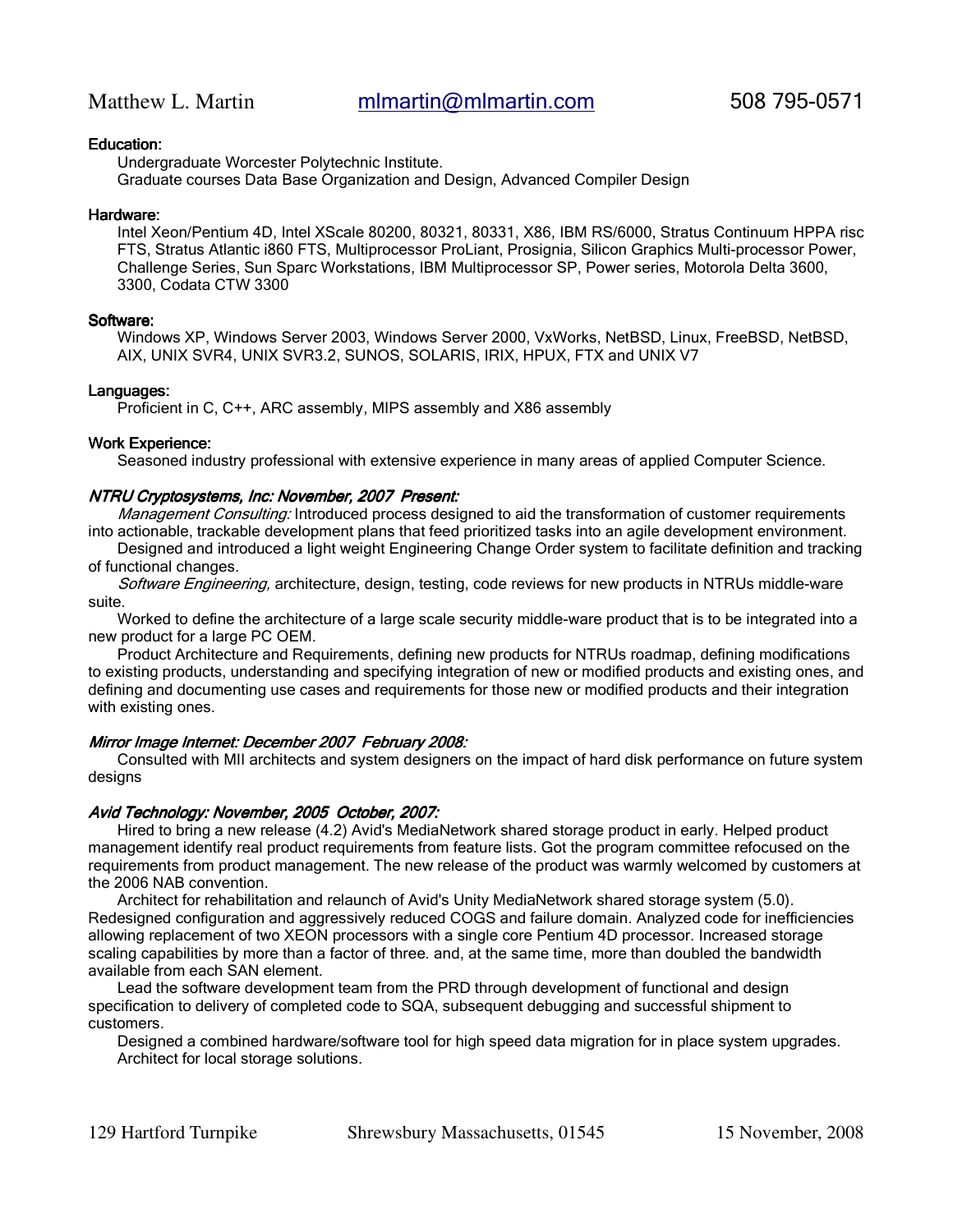# Education:

Undergraduate Worcester Polytechnic Institute. Graduate courses Data Base Organization and Design, Advanced Compiler Design

#### Hardware:

Intel Xeon/Pentium 4D, Intel XScale 80200, 80321, 80331, X86, IBM RS/6000, Stratus Continuum HPPA risc FTS, Stratus Atlantic i860 FTS, Multiprocessor ProLiant, Prosignia, Silicon Graphics Multi-processor Power, Challenge Series, Sun Sparc Workstations, IBM Multiprocessor SP, Power series, Motorola Delta 3600, 3300, Codata CTW 3300

# Software:

Windows XP, Windows Server 2003, Windows Server 2000, VxWorks, NetBSD, Linux, FreeBSD, NetBSD, AIX, UNIX SVR4, UNIX SVR3.2, SUNOS, SOLARIS, IRIX, HPUX, FTX and UNIX V7

#### Languages:

Proficient in C, C++, ARC assembly, MIPS assembly and X86 assembly

# Work Experience:

Seasoned industry professional with extensive experience in many areas of applied Computer Science.

# NTRU Cryptosystems, Inc: November, 2007 Present:

Management Consulting: Introduced process designed to aid the transformation of customer requirements into actionable, trackable development plans that feed prioritized tasks into an agile development environment.

Designed and introduced a light weight Engineering Change Order system to facilitate definition and tracking of functional changes.

Software Engineering, architecture, design, testing, code reviews for new products in NTRUs middle-ware suite.

Worked to define the architecture of a large scale security middle-ware product that is to be integrated into a new product for a large PC OEM.

Product Architecture and Requirements, defining new products for NTRUs roadmap, defining modifications to existing products, understanding and specifying integration of new or modified products and existing ones, and defining and documenting use cases and requirements for those new or modified products and their integration with existing ones.

# Mirror Image Internet: December 2007 February 2008:

Consulted with MII architects and system designers on the impact of hard disk performance on future system designs

# Avid Technology: November, 2005 October, 2007:

Hired to bring a new release (4.2) Avid's MediaNetwork shared storage product in early. Helped product management identify real product requirements from feature lists. Got the program committee refocused on the requirements from product management. The new release of the product was warmly welcomed by customers at the 2006 NAB convention.

Architect for rehabilitation and relaunch of Avid's Unity MediaNetwork shared storage system (5.0). Redesigned configuration and aggressively reduced COGS and failure domain. Analyzed code for inefficiencies allowing replacement of two XEON processors with a single core Pentium 4D processor. Increased storage scaling capabilities by more than a factor of three. and, at the same time, more than doubled the bandwidth available from each SAN element.

Lead the software development team from the PRD through development of functional and design specification to delivery of completed code to SQA, subsequent debugging and successful shipment to customers.

Designed a combined hardware/software tool for high speed data migration for in place system upgrades. Architect for local storage solutions.

129 Hartford Turnpike Shrewsbury Massachusetts, 01545 15 November, 2008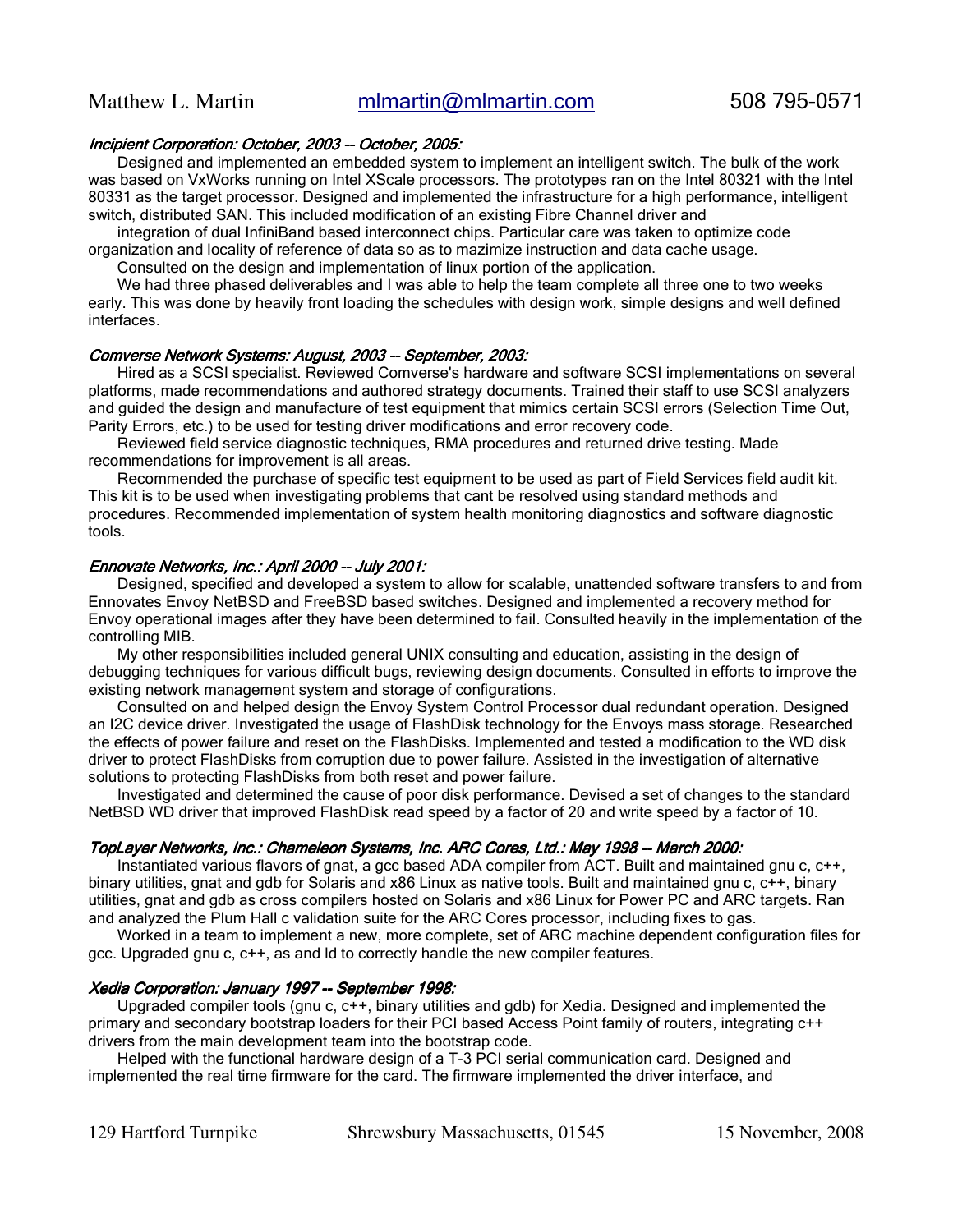# Incipient Corporation: October, 2003 -- October, 2005:

Designed and implemented an embedded system to implement an intelligent switch. The bulk of the work was based on VxWorks running on Intel XScale processors. The prototypes ran on the Intel 80321 with the Intel 80331 as the target processor. Designed and implemented the infrastructure for a high performance, intelligent switch, distributed SAN. This included modification of an existing Fibre Channel driver and

integration of dual InfiniBand based interconnect chips. Particular care was taken to optimize code organization and locality of reference of data so as to mazimize instruction and data cache usage.

Consulted on the design and implementation of linux portion of the application.

We had three phased deliverables and I was able to help the team complete all three one to two weeks early. This was done by heavily front loading the schedules with design work, simple designs and well defined interfaces.

#### Comverse Network Systems: August, 2003 -- September, 2003:

Hired as a SCSI specialist. Reviewed Comverse's hardware and software SCSI implementations on several platforms, made recommendations and authored strategy documents. Trained their staff to use SCSI analyzers and guided the design and manufacture of test equipment that mimics certain SCSI errors (Selection Time Out, Parity Errors, etc.) to be used for testing driver modifications and error recovery code.

Reviewed field service diagnostic techniques, RMA procedures and returned drive testing. Made recommendations for improvement is all areas.

Recommended the purchase of specific test equipment to be used as part of Field Services field audit kit. This kit is to be used when investigating problems that cant be resolved using standard methods and procedures. Recommended implementation of system health monitoring diagnostics and software diagnostic tools.

#### Ennovate Networks, Inc.: April 2000 -- July 2001:

Designed, specified and developed a system to allow for scalable, unattended software transfers to and from Ennovates Envoy NetBSD and FreeBSD based switches. Designed and implemented a recovery method for Envoy operational images after they have been determined to fail. Consulted heavily in the implementation of the controlling MIB.

My other responsibilities included general UNIX consulting and education, assisting in the design of debugging techniques for various difficult bugs, reviewing design documents. Consulted in efforts to improve the existing network management system and storage of configurations.

Consulted on and helped design the Envoy System Control Processor dual redundant operation. Designed an I2C device driver. Investigated the usage of FlashDisk technology for the Envoys mass storage. Researched the effects of power failure and reset on the FlashDisks. Implemented and tested a modification to the WD disk driver to protect FlashDisks from corruption due to power failure. Assisted in the investigation of alternative solutions to protecting FlashDisks from both reset and power failure.

Investigated and determined the cause of poor disk performance. Devised a set of changes to the standard NetBSD WD driver that improved FlashDisk read speed by a factor of 20 and write speed by a factor of 10.

#### TopLayer Networks, Inc.: Chameleon Systems, Inc. ARC Cores, Ltd.: May 1998 -- March 2000:

Instantiated various flavors of gnat, a gcc based ADA compiler from ACT. Built and maintained gnu c, c++, binary utilities, gnat and gdb for Solaris and x86 Linux as native tools. Built and maintained gnu c, c++, binary utilities, gnat and gdb as cross compilers hosted on Solaris and x86 Linux for Power PC and ARC targets. Ran and analyzed the Plum Hall c validation suite for the ARC Cores processor, including fixes to gas.

Worked in a team to implement a new, more complete, set of ARC machine dependent configuration files for gcc. Upgraded gnu c, c++, as and ld to correctly handle the new compiler features.

#### Xedia Corporation: January 1997 -- September 1998:

Upgraded compiler tools (gnu c, c++, binary utilities and gdb) for Xedia. Designed and implemented the primary and secondary bootstrap loaders for their PCI based Access Point family of routers, integrating c++ drivers from the main development team into the bootstrap code.

Helped with the functional hardware design of a T-3 PCI serial communication card. Designed and implemented the real time firmware for the card. The firmware implemented the driver interface, and

129 Hartford Turnpike Shrewsbury Massachusetts, 01545 15 November, 2008